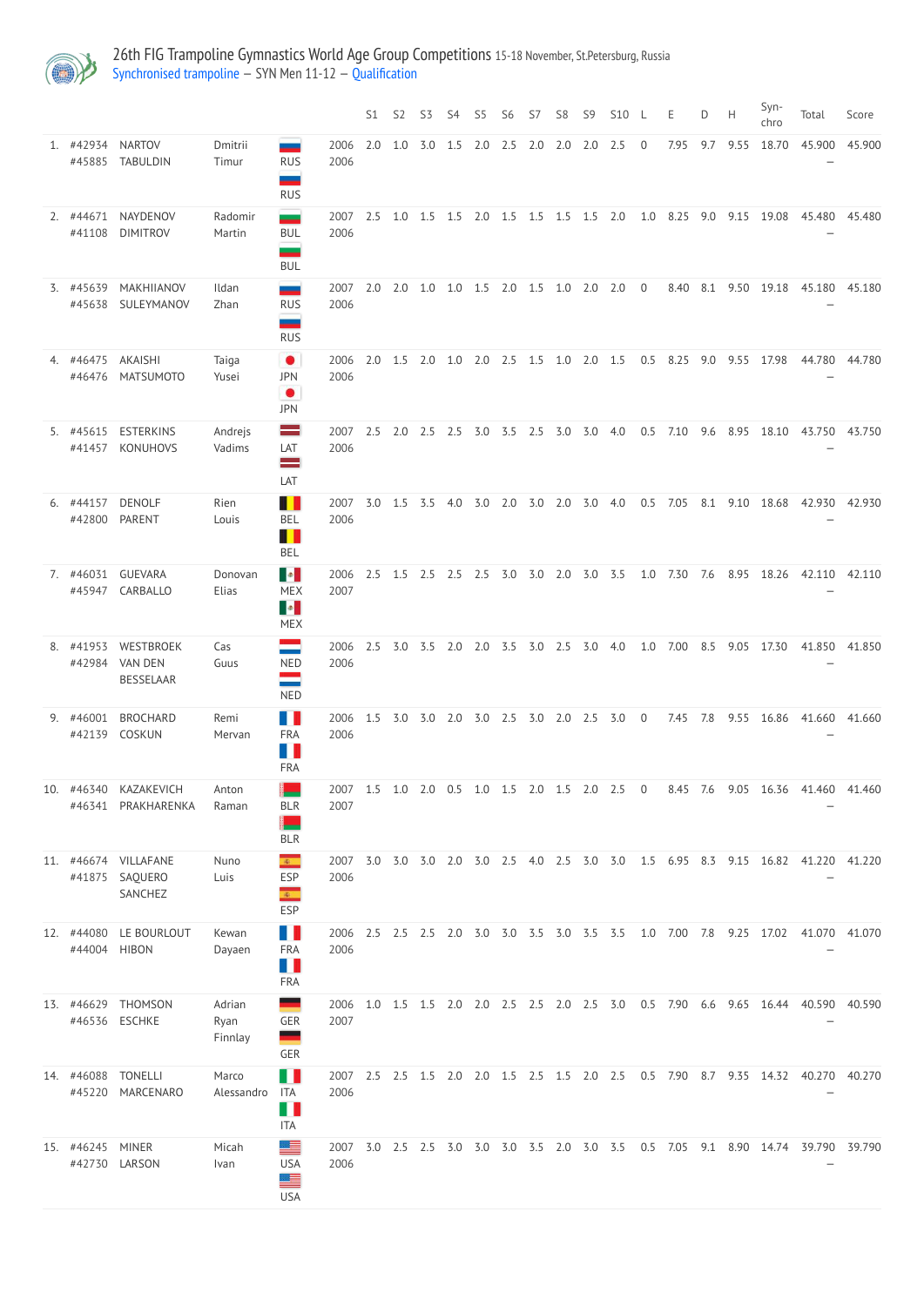

26th FIG Trampoline Gymnastics World Age Group Competitions 15-18 November, St.Petersburg, Russia [Synchronised](http://192.168.1.10:9001/event/SYN) trampoline — SYN Men 11-12 — [Qualification](http://192.168.1.10:9001/stages/64)

|    |                      |                                                 |                           |                                                                     |              | S1  | S <sub>2</sub> | S <sub>3</sub> | S <sub>4</sub> | S <sub>5</sub> | S <sub>6</sub> | S7  | S <sub>8</sub> | S <sub>9</sub> | <b>S10</b> |                | E    | D.  | Н    | Syn-<br>chro | Total                                                                              | Score  |
|----|----------------------|-------------------------------------------------|---------------------------|---------------------------------------------------------------------|--------------|-----|----------------|----------------|----------------|----------------|----------------|-----|----------------|----------------|------------|----------------|------|-----|------|--------------|------------------------------------------------------------------------------------|--------|
|    | 1. #42934<br>#45885  | <b>NARTOV</b><br><b>TABULDIN</b>                | Dmitrii<br>Timur          | <b>RUS</b><br>--<br><b>RUS</b>                                      | 2006<br>2006 | 2.0 | 1.0            | 3.0            | 1.5            | 2.0            | 2.5            | 2.0 | 2.0            | 2.0            | 2.5        | $\overline{0}$ | 7.95 | 9.7 | 9.55 | 18.70        | 45.900                                                                             | 45.900 |
|    | 2. #44671<br>#41108  | NAYDENOV<br><b>DIMITROV</b>                     | Radomir<br>Martin         | -<br><b>BUL</b><br><b>BUL</b>                                       | 2007<br>2006 | 2.5 | 1.0            | 1.5            | 1.5            | 2.0            | $1.5$ 1.5      |     | 1.5            | 1.5            | 2.0        | 1.0            | 8.25 | 9.0 | 9.15 | 19.08        | 45.480                                                                             | 45.480 |
|    | 3. #45639<br>#45638  | MAKHIIANOV<br>SULEYMANOV                        | Ildan<br>Zhan             | $\overline{\phantom{a}}$<br><b>RUS</b><br>–<br><b>RUS</b>           | 2007<br>2006 | 2.0 | 2.0            | 1.0            | 1.0            | 1.5            | 2.0            | 1.5 | 1.0            | 2.0            | 2.0        | $\overline{0}$ | 8.40 | 8.1 | 9.50 | 19.18        | 45.180                                                                             | 45.180 |
|    | 4. #46475<br>#46476  | <b>AKAISHI</b><br><b>MATSUMOTO</b>              | Taiga<br>Yusei            | $\bullet$<br><b>JPN</b><br>$\bullet$<br><b>JPN</b>                  | 2006<br>2006 | 2.0 | 1.5            | 2.0            | 1.0            | 2.0            | 2.5            | 1.5 | 1.0            | 2.0            | 1.5        | 0.5            | 8.25 | 9.0 | 9.55 | 17.98        | 44.780                                                                             | 44.780 |
|    | 5. #45615<br>#41457  | <b>ESTERKINS</b><br><b>KONUHOVS</b>             | Andrejs<br>Vadims         | $\equiv$<br>LAT<br>$\equiv$<br>LAT                                  | 2007<br>2006 | 2.5 | 2.0            | 2.5            | 2.5            | 3.0            | 3.5            | 2.5 | 3.0            | 3.0            | 4.0        | 0.5            | 7.10 | 9.6 | 8.95 | 18.10        | 43.750                                                                             | 43.750 |
|    | 6. #44157<br>#42800  | <b>DENOLF</b><br><b>PARENT</b>                  | Rien<br>Louis             | H<br><b>BEL</b><br><u> 11</u><br><b>BEL</b>                         | 2007<br>2006 | 3.0 | 1.5            | 3.5            | 4.0            | 3.0            | 2.0            | 3.0 | 2.0            | 3.0            | 4.0        | 0.5            | 7.05 | 8.1 | 9.10 | 18.68        | 42.930                                                                             | 42.930 |
|    | 7. #46031            | <b>GUEVARA</b><br>#45947 CARBALLO               | Donovan<br>Elias          | <b>B</b><br><b>MEX</b><br>$\mathcal{A}$<br><b>MEX</b>               | 2006<br>2007 | 2.5 | 1.5            | 2.5            | 2.5            | 2.5            | 3.0            | 3.0 | 2.0            | 3.0            | 3.5        | 1.0            | 7.30 | 7.6 | 8.95 | 18.26        | 42.110                                                                             | 42.110 |
| 8. | #41953<br>#42984     | WESTBROEK<br><b>VAN DEN</b><br><b>BESSELAAR</b> | Cas<br>Guus               | ═<br><b>NED</b><br>$\equiv$<br><b>NED</b>                           | 2006<br>2006 | 2.5 | 3.0            | 3.5            | 2.0            | 2.0            | 3.5            | 3.0 | 2.5            | 3.0            | 4.0        | 1.0            | 7.00 | 8.5 | 9.05 | 17.30        | 41.850                                                                             | 41.850 |
| 9. | #46001<br>#42139     | <b>BROCHARD</b><br>COSKUN                       | Remi<br>Mervan            | n n<br><b>FRA</b><br>$\blacksquare$<br>FRA                          | 2006<br>2006 | 1.5 | 3.0            | 3.0            | 2.0            | 3.0            | 2.5            | 3.0 | 2.0            | 2.5            | 3.0        | $\overline{0}$ | 7.45 | 7.8 | 9.55 | 16.86        | 41.660                                                                             | 41.660 |
|    | 10. #46340<br>#46341 | KAZAKEVICH<br>PRAKHARENKA                       | Anton<br>Raman            | <b>BLR</b><br>L<br><b>BLR</b>                                       | 2007<br>2007 | 1.5 | 1.0            | 2.0            | 0.5            | 1.0            | 1.5            | 2.0 | 1.5            | 2.0            | 2.5        | $\overline{0}$ | 8.45 | 7.6 | 9.05 | 16.36        | 41.460                                                                             | 41.460 |
|    | 11. #46674<br>#41875 | VILLAFANE<br>SAQUERO<br>SANCHEZ                 | Nuno<br>Luis              | $\mathcal{R}^{\infty}_{\text{loc}}$<br>ESP<br>$\mathbb{R}^n$<br>ESP | 2007<br>2006 | 3.0 | 3.0            | 3.0            | 2.0            | 3.0            | 2.5            | 4.0 | 2.5            | 3.0            | 3.0        | 1.5            | 6.95 | 8.3 | 9.15 | 16.82        | 41.220                                                                             | 41.220 |
|    | 12. #44080<br>#44004 | LE BOURLOUT<br><b>HIBON</b>                     | Kewan<br>Dayaen           | N H<br><b>FRA</b><br>H<br>FRA                                       | 2006<br>2006 | 2.5 | 2.5            | 2.5            | 2.0            | 3.0            | 3.0            | 3.5 | 3.0            | 3.5            | 3.5        | 1.0            | 7.00 | 7.8 | 9.25 | 17.02        | 41.070                                                                             | 41.070 |
|    | 13. #46629<br>#46536 | <b>THOMSON</b><br><b>ESCHKE</b>                 | Adrian<br>Ryan<br>Finnlay | ۰<br>GER<br>═<br>GER                                                | 2006<br>2007 | 1.0 | 1.5            | 1.5            | 2.0            | 2.0            | 2.5            | 2.5 | 2.0            | 2.5            | 3.0        | 0.5            | 7.90 | 6.6 | 9.65 | 16.44        | 40.590                                                                             | 40.590 |
|    | 14. #46088           | <b>TONELLI</b><br>#45220 MARCENARO              | Marco<br>Alessandro       | n M<br>ITA<br>Ш<br><b>ITA</b>                                       | 2007<br>2006 | 2.5 | 2.5            | 1.5            | 2.0            | 2.0            | 1.5            | 2.5 | 1.5            | 2.0            | 2.5        | 0.5            | 7.90 | 8.7 | 9.35 | 14.32        | 40.270                                                                             | 40.270 |
|    | 15. #46245 MINER     | #42730 LARSON                                   | Micah<br>Ivan             | 프<br><b>USA</b><br>트<br><b>USA</b>                                  | 2006         |     |                |                |                |                |                |     |                |                |            |                |      |     |      |              | 2007 3.0 2.5 2.5 3.0 3.0 3.0 3.5 2.0 3.0 3.5 0.5 7.05 9.1 8.90 14.74 39.790 39.790 |        |